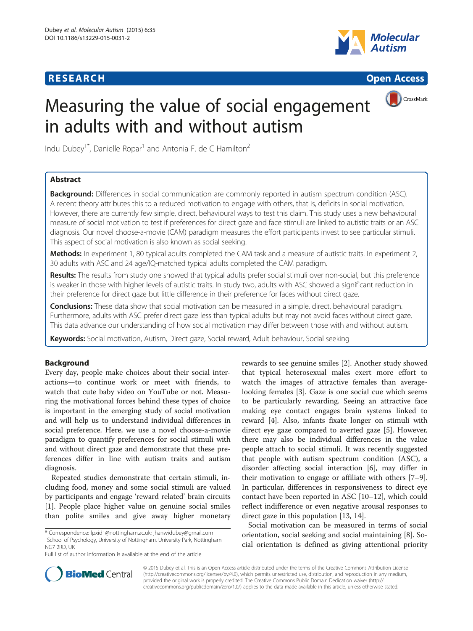





# Measuring the value of social engagement in adults with and without autism

Indu Dubey<sup>1\*</sup>, Danielle Ropar<sup>1</sup> and Antonia F. de C Hamilton<sup>2</sup>

# Abstract

**Background:** Differences in social communication are commonly reported in autism spectrum condition (ASC). A recent theory attributes this to a reduced motivation to engage with others, that is, deficits in social motivation. However, there are currently few simple, direct, behavioural ways to test this claim. This study uses a new behavioural measure of social motivation to test if preferences for direct gaze and face stimuli are linked to autistic traits or an ASC diagnosis. Our novel choose-a-movie (CAM) paradigm measures the effort participants invest to see particular stimuli. This aspect of social motivation is also known as social seeking.

Methods: In experiment 1, 80 typical adults completed the CAM task and a measure of autistic traits. In experiment 2, 30 adults with ASC and 24 age/IQ-matched typical adults completed the CAM paradigm.

Results: The results from study one showed that typical adults prefer social stimuli over non-social, but this preference is weaker in those with higher levels of autistic traits. In study two, adults with ASC showed a significant reduction in their preference for direct gaze but little difference in their preference for faces without direct gaze.

**Conclusions:** These data show that social motivation can be measured in a simple, direct, behavioural paradigm. Furthermore, adults with ASC prefer direct gaze less than typical adults but may not avoid faces without direct gaze. This data advance our understanding of how social motivation may differ between those with and without autism.

Keywords: Social motivation, Autism, Direct gaze, Social reward, Adult behaviour, Social seeking

# Background

Every day, people make choices about their social interactions—to continue work or meet with friends, to watch that cute baby video on YouTube or not. Measuring the motivational forces behind these types of choice is important in the emerging study of social motivation and will help us to understand individual differences in social preference. Here, we use a novel choose-a-movie paradigm to quantify preferences for social stimuli with and without direct gaze and demonstrate that these preferences differ in line with autism traits and autism diagnosis.

Repeated studies demonstrate that certain stimuli, including food, money and some social stimuli are valued by participants and engage 'reward related' brain circuits [[1\]](#page-7-0). People place higher value on genuine social smiles than polite smiles and give away higher monetary

\* Correspondence: [lpxid1@nottingham.ac.uk;](mailto:lpxid1@nottingham.ac.uk) [jhanwidubey@gmail.com](mailto:jhanwidubey@gmail.com) <sup>1</sup>School of Psychology, University of Nottingham, University Park, Nottingham NG7 2RD, UK

Full list of author information is available at the end of the article

rewards to see genuine smiles [[2\]](#page-7-0). Another study showed that typical heterosexual males exert more effort to watch the images of attractive females than averagelooking females [\[3\]](#page-7-0). Gaze is one social cue which seems to be particularly rewarding. Seeing an attractive face making eye contact engages brain systems linked to reward [\[4\]](#page-7-0). Also, infants fixate longer on stimuli with direct eye gaze compared to averted gaze [\[5](#page-7-0)]. However, there may also be individual differences in the value people attach to social stimuli. It was recently suggested that people with autism spectrum condition (ASC), a disorder affecting social interaction [\[6](#page-7-0)], may differ in their motivation to engage or affiliate with others [\[7](#page-7-0)–[9](#page-7-0)]. In particular, differences in responsiveness to direct eye contact have been reported in ASC [[10](#page-7-0)–[12](#page-7-0)], which could reflect indifference or even negative arousal responses to direct gaze in this population [[13, 14\]](#page-8-0).

Social motivation can be measured in terms of social orientation, social seeking and social maintaining [[8\]](#page-7-0). Social orientation is defined as giving attentional priority



© 2015 Dubey et al. This is an Open Access article distributed under the terms of the Creative Commons Attribution License [\(http://creativecommons.org/licenses/by/4.0\)](http://creativecommons.org/licenses/by/4.0), which permits unrestricted use, distribution, and reproduction in any medium, provided the original work is properly credited. The Creative Commons Public Domain Dedication waiver [\(http://](http://creativecommons.org/publicdomain/zero/1.0/) [creativecommons.org/publicdomain/zero/1.0/\)](http://creativecommons.org/publicdomain/zero/1.0/) applies to the data made available in this article, unless otherwise stated.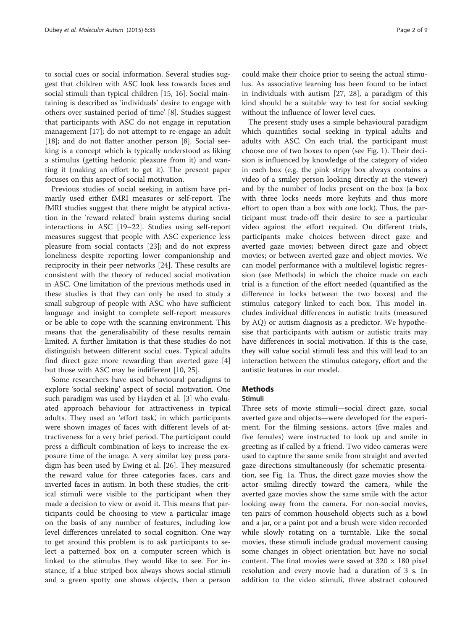to social cues or social information. Several studies suggest that children with ASC look less towards faces and social stimuli than typical children [[15](#page-8-0), [16\]](#page-8-0). Social maintaining is described as 'individuals' desire to engage with others over sustained period of time' [[8\]](#page-7-0). Studies suggest that participants with ASC do not engage in reputation management [\[17\]](#page-8-0); do not attempt to re-engage an adult [[18\]](#page-8-0); and do not flatter another person [\[8](#page-7-0)]. Social seeking is a concept which is typically understood as liking a stimulus (getting hedonic pleasure from it) and wanting it (making an effort to get it). The present paper focuses on this aspect of social motivation.

Previous studies of social seeking in autism have primarily used either fMRI measures or self-report. The fMRI studies suggest that there might be atypical activation in the 'reward related' brain systems during social interactions in ASC [\[19](#page-8-0)–[22\]](#page-8-0). Studies using self-report measures suggest that people with ASC experience less pleasure from social contacts [\[23](#page-8-0)]; and do not express loneliness despite reporting lower companionship and reciprocity in their peer networks [\[24\]](#page-8-0). These results are consistent with the theory of reduced social motivation in ASC. One limitation of the previous methods used in these studies is that they can only be used to study a small subgroup of people with ASC who have sufficient language and insight to complete self-report measures or be able to cope with the scanning environment. This means that the generalisability of these results remain limited. A further limitation is that these studies do not distinguish between different social cues. Typical adults find direct gaze more rewarding than averted gaze [\[4](#page-7-0)] but those with ASC may be indifferent [\[10](#page-7-0), [25](#page-8-0)].

Some researchers have used behavioural paradigms to explore 'social seeking' aspect of social motivation. One such paradigm was used by Hayden et al. [[3\]](#page-7-0) who evaluated approach behaviour for attractiveness in typical adults. They used an 'effort task,' in which participants were shown images of faces with different levels of attractiveness for a very brief period. The participant could press a difficult combination of keys to increase the exposure time of the image. A very similar key press paradigm has been used by Ewing et al. [[26\]](#page-8-0). They measured the reward value for three categories faces, cars and inverted faces in autism. In both these studies, the critical stimuli were visible to the participant when they made a decision to view or avoid it. This means that participants could be choosing to view a particular image on the basis of any number of features, including low level differences unrelated to social cognition. One way to get around this problem is to ask participants to select a patterned box on a computer screen which is linked to the stimulus they would like to see. For instance, if a blue striped box always shows social stimuli and a green spotty one shows objects, then a person

could make their choice prior to seeing the actual stimulus. As associative learning has been found to be intact in individuals with autism [\[27](#page-8-0), [28\]](#page-8-0), a paradigm of this kind should be a suitable way to test for social seeking without the influence of lower level cues.

The present study uses a simple behavioural paradigm which quantifies social seeking in typical adults and adults with ASC. On each trial, the participant must choose one of two boxes to open (see Fig. [1\)](#page-2-0). Their decision is influenced by knowledge of the category of video in each box (e.g. the pink stripy box always contains a video of a smiley person looking directly at the viewer) and by the number of locks present on the box (a box with three locks needs more keyhits and thus more effort to open than a box with one lock). Thus, the participant must trade-off their desire to see a particular video against the effort required. On different trials, participants make choices between direct gaze and averted gaze movies; between direct gaze and object movies; or between averted gaze and object movies. We can model performance with a multilevel logistic regression (see Methods) in which the choice made on each trial is a function of the effort needed (quantified as the difference in locks between the two boxes) and the stimulus category linked to each box. This model includes individual differences in autistic traits (measured by AQ) or autism diagnosis as a predictor. We hypothesise that participants with autism or autistic traits may have differences in social motivation. If this is the case, they will value social stimuli less and this will lead to an interaction between the stimulus category, effort and the autistic features in our model.

# **Methods**

# Stimuli

Three sets of movie stimuli—social direct gaze, social averted gaze and objects—were developed for the experiment. For the filming sessions, actors (five males and five females) were instructed to look up and smile in greeting as if called by a friend. Two video cameras were used to capture the same smile from straight and averted gaze directions simultaneously (for schematic presentation, see Fig. [1a.](#page-2-0) Thus, the direct gaze movies show the actor smiling directly toward the camera, while the averted gaze movies show the same smile with the actor looking away from the camera. For non-social movies, ten pairs of common household objects such as a bowl and a jar, or a paint pot and a brush were video recorded while slowly rotating on a turntable. Like the social movies, these stimuli include gradual movement causing some changes in object orientation but have no social content. The final movies were saved at  $320 \times 180$  pixel resolution and every movie had a duration of 3 s. In addition to the video stimuli, three abstract coloured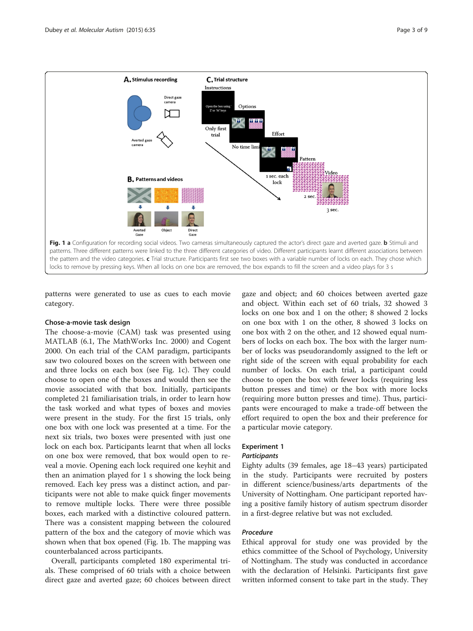<span id="page-2-0"></span>

patterns were generated to use as cues to each movie category.

#### Chose-a-movie task design

The choose-a-movie (CAM) task was presented using MATLAB (6.1, The MathWorks Inc. 2000) and Cogent 2000. On each trial of the CAM paradigm, participants saw two coloured boxes on the screen with between one and three locks on each box (see Fig. 1c). They could choose to open one of the boxes and would then see the movie associated with that box. Initially, participants completed 21 familiarisation trials, in order to learn how the task worked and what types of boxes and movies were present in the study. For the first 15 trials, only one box with one lock was presented at a time. For the next six trials, two boxes were presented with just one lock on each box. Participants learnt that when all locks on one box were removed, that box would open to reveal a movie. Opening each lock required one keyhit and then an animation played for 1 s showing the lock being removed. Each key press was a distinct action, and participants were not able to make quick finger movements to remove multiple locks. There were three possible boxes, each marked with a distinctive coloured pattern. There was a consistent mapping between the coloured pattern of the box and the category of movie which was shown when that box opened (Fig. 1b. The mapping was counterbalanced across participants.

Overall, participants completed 180 experimental trials. These comprised of 60 trials with a choice between direct gaze and averted gaze; 60 choices between direct

gaze and object; and 60 choices between averted gaze and object. Within each set of 60 trials, 32 showed 3 locks on one box and 1 on the other; 8 showed 2 locks on one box with 1 on the other, 8 showed 3 locks on one box with 2 on the other, and 12 showed equal numbers of locks on each box. The box with the larger number of locks was pseudorandomly assigned to the left or right side of the screen with equal probability for each number of locks. On each trial, a participant could choose to open the box with fewer locks (requiring less button presses and time) or the box with more locks (requiring more button presses and time). Thus, participants were encouraged to make a trade-off between the effort required to open the box and their preference for a particular movie category.

# Experiment 1

### **Participants**

Eighty adults (39 females, age 18–43 years) participated in the study. Participants were recruited by posters in different science/business/arts departments of the University of Nottingham. One participant reported having a positive family history of autism spectrum disorder in a first-degree relative but was not excluded.

### Procedure

Ethical approval for study one was provided by the ethics committee of the School of Psychology, University of Nottingham. The study was conducted in accordance with the declaration of Helsinki. Participants first gave written informed consent to take part in the study. They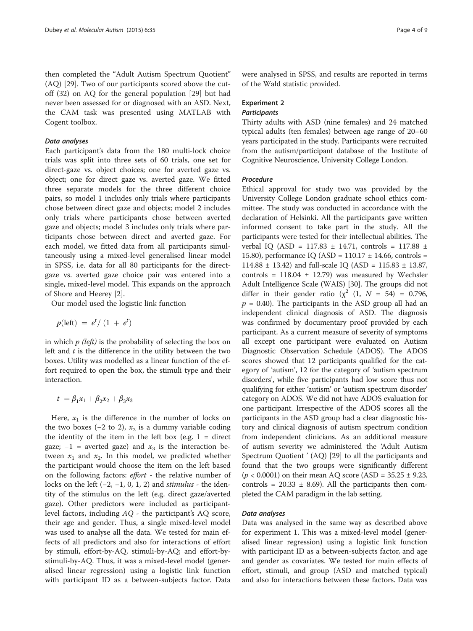then completed the "Adult Autism Spectrum Quotient" (AQ) [[29\]](#page-8-0). Two of our participants scored above the cutoff (32) on AQ for the general population [\[29](#page-8-0)] but had never been assessed for or diagnosed with an ASD. Next, the CAM task was presented using MATLAB with Cogent toolbox.

### Data analyses

Each participant's data from the 180 multi-lock choice trials was split into three sets of 60 trials, one set for direct-gaze vs. object choices; one for averted gaze vs. object; one for direct gaze vs. averted gaze. We fitted three separate models for the three different choice pairs, so model 1 includes only trials where participants chose between direct gaze and objects; model 2 includes only trials where participants chose between averted gaze and objects; model 3 includes only trials where participants chose between direct and averted gaze. For each model, we fitted data from all participants simultaneously using a mixed-level generalised linear model in SPSS, i.e. data for all 80 participants for the directgaze vs. averted gaze choice pair was entered into a single, mixed-level model. This expands on the approach of Shore and Heerey [[2\]](#page-7-0).

Our model used the logistic link function

$$
p(\text{left}) = e^t / (1 + e^t)
$$

in which  $p$  (left) is the probability of selecting the box on left and  $t$  is the difference in the utility between the two boxes. Utility was modelled as a linear function of the effort required to open the box, the stimuli type and their interaction.

$$
t = \beta_1 x_1 + \beta_2 x_2 + \beta_3 x_3
$$

Here,  $x_1$  is the difference in the number of locks on the two boxes (−2 to 2),  $x_2$  is a dummy variable coding the identity of the item in the left box (e.g.  $1 =$  direct gaze;  $-1$  = averted gaze) and  $x_3$  is the interaction between  $x_1$  and  $x_2$ . In this model, we predicted whether the participant would choose the item on the left based on the following factors: effort - the relative number of locks on the left  $(-2, -1, 0, 1, 2)$  and *stimulus* - the identity of the stimulus on the left (e.g. direct gaze/averted gaze). Other predictors were included as participantlevel factors, including AQ - the participant's AQ score, their age and gender. Thus, a single mixed-level model was used to analyse all the data. We tested for main effects of all predictors and also for interactions of effort by stimuli, effort-by-AQ, stimuli-by-AQ; and effort-bystimuli-by-AQ. Thus, it was a mixed-level model (generalised linear regression) using a logistic link function with participant ID as a between-subjects factor. Data

were analysed in SPSS, and results are reported in terms of the Wald statistic provided.

# Experiment 2

#### **Participants**

Thirty adults with ASD (nine females) and 24 matched typical adults (ten females) between age range of 20–60 years participated in the study. Participants were recruited from the autism/participant database of the Institute of Cognitive Neuroscience, University College London.

# Procedure

Ethical approval for study two was provided by the University College London graduate school ethics committee. The study was conducted in accordance with the declaration of Helsinki. All the participants gave written informed consent to take part in the study. All the participants were tested for their intellectual abilities. The verbal IQ (ASD = 117.83  $\pm$  14.71, controls = 117.88  $\pm$ 15.80), performance IQ (ASD =  $110.17 \pm 14.66$ , controls = 114.88  $\pm$  13.42) and full-scale IQ (ASD = 115.83  $\pm$  13.87, controls =  $118.04 \pm 12.79$ ) was measured by Wechsler Adult Intelligence Scale (WAIS) [\[30\]](#page-8-0). The groups did not differ in their gender ratio ( $\chi^2$  (1,  $N = 54$ ) = 0.796,  $p = 0.40$ ). The participants in the ASD group all had an independent clinical diagnosis of ASD. The diagnosis was confirmed by documentary proof provided by each participant. As a current measure of severity of symptoms all except one participant were evaluated on Autism Diagnostic Observation Schedule (ADOS). The ADOS scores showed that 12 participants qualified for the category of 'autism', 12 for the category of 'autism spectrum disorders', while five participants had low score thus not qualifying for either 'autism' or 'autism spectrum disorder' category on ADOS. We did not have ADOS evaluation for one participant. Irrespective of the ADOS scores all the participants in the ASD group had a clear diagnostic history and clinical diagnosis of autism spectrum condition from independent clinicians. As an additional measure of autism severity we administered the 'Adult Autism Spectrum Quotient ' (AQ) [\[29\]](#page-8-0) to all the participants and found that the two groups were significantly different  $(p < 0.0001)$  on their mean AQ score (ASD = 35.25  $\pm$  9.23, controls =  $20.33 \pm 8.69$ ). All the participants then completed the CAM paradigm in the lab setting.

# Data analyses

Data was analysed in the same way as described above for experiment 1. This was a mixed-level model (generalised linear regression) using a logistic link function with participant ID as a between-subjects factor, and age and gender as covariates. We tested for main effects of effort, stimuli, and group (ASD and matched typical) and also for interactions between these factors. Data was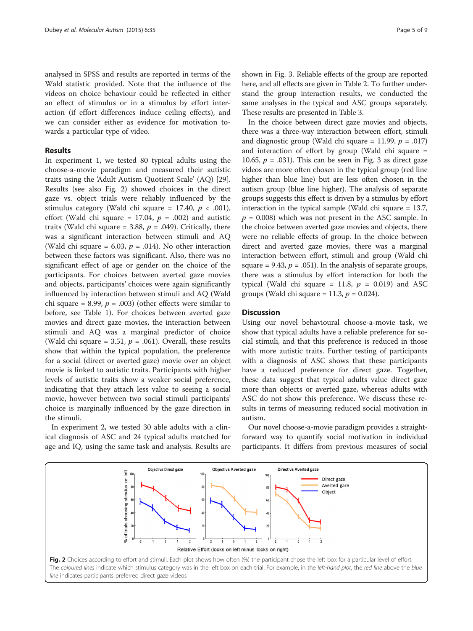<span id="page-4-0"></span>analysed in SPSS and results are reported in terms of the Wald statistic provided. Note that the influence of the videos on choice behaviour could be reflected in either an effect of stimulus or in a stimulus by effort interaction (if effort differences induce ceiling effects), and we can consider either as evidence for motivation towards a particular type of video.

# Results

In experiment 1, we tested 80 typical adults using the choose-a-movie paradigm and measured their autistic traits using the 'Adult Autism Quotient Scale' (AQ) [\[29](#page-8-0)]. Results (see also Fig. 2) showed choices in the direct gaze vs. object trials were reliably influenced by the stimulus category (Wald chi square = 17.40,  $p < .001$ ), effort (Wald chi square = 17.04,  $p = .002$ ) and autistic traits (Wald chi square = 3.88,  $p = .049$ ). Critically, there was a significant interaction between stimuli and AQ (Wald chi square = 6.03,  $p = .014$ ). No other interaction between these factors was significant. Also, there was no significant effect of age or gender on the choice of the participants. For choices between averted gaze movies and objects, participants' choices were again significantly influenced by interaction between stimuli and AQ (Wald chi square = 8.99,  $p = .003$ ) (other effects were similar to before, see Table [1](#page-5-0)). For choices between averted gaze movies and direct gaze movies, the interaction between stimuli and AQ was a marginal predictor of choice (Wald chi square = 3.51,  $p = .061$ ). Overall, these results show that within the typical population, the preference for a social (direct or averted gaze) movie over an object movie is linked to autistic traits. Participants with higher levels of autistic traits show a weaker social preference, indicating that they attach less value to seeing a social movie, however between two social stimuli participants' choice is marginally influenced by the gaze direction in the stimuli.

In experiment 2, we tested 30 able adults with a clinical diagnosis of ASC and 24 typical adults matched for age and IQ, using the same task and analysis. Results are

shown in Fig. [3](#page-5-0). Reliable effects of the group are reported here, and all effects are given in Table [2](#page-6-0). To further understand the group interaction results, we conducted the same analyses in the typical and ASC groups separately. These results are presented in Table [3](#page-6-0).

In the choice between direct gaze movies and objects, there was a three-way interaction between effort, stimuli and diagnostic group (Wald chi square = 11.99,  $p = .017$ ) and interaction of effort by group (Wald chi square = 10.65,  $p = .031$ ). This can be seen in Fig. [3](#page-5-0) as direct gaze videos are more often chosen in the typical group (red line higher than blue line) but are less often chosen in the autism group (blue line higher). The analysis of separate groups suggests this effect is driven by a stimulus by effort interaction in the typical sample (Wald chi square = 13.7,  $p = 0.008$ ) which was not present in the ASC sample. In the choice between averted gaze movies and objects, there were no reliable effects of group. In the choice between direct and averted gaze movies, there was a marginal interaction between effort, stimuli and group (Wald chi square = 9.43,  $p = .051$ ). In the analysis of separate groups, there was a stimulus by effort interaction for both the typical (Wald chi square = 11.8,  $p = 0.019$ ) and ASC groups (Wald chi square = 11.3,  $p = 0.024$ ).

# **Discussion**

Using our novel behavioural choose-a-movie task, we show that typical adults have a reliable preference for social stimuli, and that this preference is reduced in those with more autistic traits. Further testing of participants with a diagnosis of ASC shows that these participants have a reduced preference for direct gaze. Together, these data suggest that typical adults value direct gaze more than objects or averted gaze, whereas adults with ASC do not show this preference. We discuss these results in terms of measuring reduced social motivation in autism.

Our novel choose-a-movie paradigm provides a straightforward way to quantify social motivation in individual participants. It differs from previous measures of social

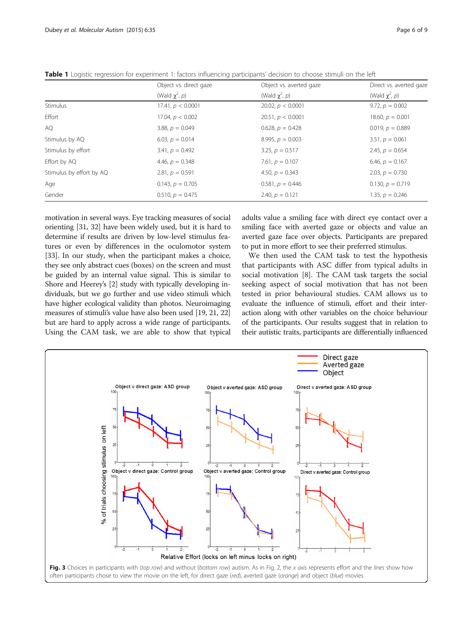|                          | Object vs. direct gaze | Object vs. averted gaze | Direct vs. averted gaze |  |
|--------------------------|------------------------|-------------------------|-------------------------|--|
|                          | (Wald $\chi^2$ , p)    | (Wald $\chi^2$ , p)     | (Wald $\chi^2$ , p)     |  |
| Stimulus                 | 17.41, $p < 0.0001$    | 20.02, $p < 0.0001$     | 9.72, $p = 0.002$       |  |
| Effort                   | 17.04, $p < 0.002$     | 20.51, $p < 0.0001$     | 18.60, $p = 0.001$      |  |
| AQ                       | 3.88, $p = 0.049$      | 0.628, $p = 0.428$      | 0.019, $p = 0.889$      |  |
| Stimulus by AQ           | 6.03, $p = 0.014$      | 8.995, $p = 0.003$      | $3.51, p = 0.061$       |  |
| Stimulus by effort       | 3.41, $p = 0.492$      | 3.25, $p = 0.517$       | 2.45, $p = 0.654$       |  |
| Effort by AQ             | 4.46, $p = 0.348$      | 7.61, $p = 0.107$       | 6.46, $p = 0.167$       |  |
| Stimulus by effort by AQ | 2.81, $p = 0.591$      | 4.50, $p = 0.343$       | 2.03, $p = 0.730$       |  |
| Age                      | 0.143, $p = 0.705$     | $0.581, p = 0.446$      | 0.130, $p = 0.719$      |  |
| Gender                   | $0.510, p = 0.475$     | 2.40, $p = 0.121$       | 1.35, $p = 0.246$       |  |

<span id="page-5-0"></span>Table 1 Logistic regression for experiment 1: factors influencing participants' decision to choose stimuli on the left

motivation in several ways. Eye tracking measures of social orienting [\[31, 32\]](#page-8-0) have been widely used, but it is hard to determine if results are driven by low-level stimulus features or even by differences in the oculomotor system [[33](#page-8-0)]. In our study, when the participant makes a choice, they see only abstract cues (boxes) on the screen and must be guided by an internal value signal. This is similar to Shore and Heerey's [\[2](#page-7-0)] study with typically developing individuals, but we go further and use video stimuli which have higher ecological validity than photos. Neuroimaging measures of stimuli's value have also been used [\[19, 21](#page-8-0), [22](#page-8-0)] but are hard to apply across a wide range of participants. Using the CAM task, we are able to show that typical adults value a smiling face with direct eye contact over a smiling face with averted gaze or objects and value an averted gaze face over objects. Participants are prepared to put in more effort to see their preferred stimulus.

We then used the CAM task to test the hypothesis that participants with ASC differ from typical adults in social motivation [[8](#page-7-0)]. The CAM task targets the social seeking aspect of social motivation that has not been tested in prior behavioural studies. CAM allows us to evaluate the influence of stimuli, effort and their interaction along with other variables on the choice behaviour of the participants. Our results suggest that in relation to their autistic traits, participants are differentially influenced

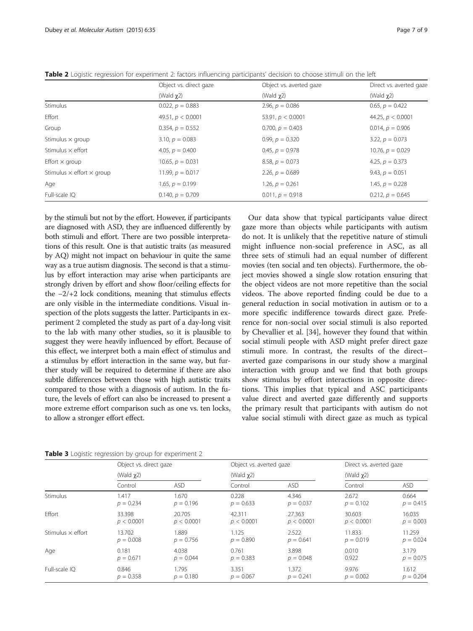|                                         | Object vs. direct gaze | Object vs. averted gaze | Direct vs. averted gaze |  |
|-----------------------------------------|------------------------|-------------------------|-------------------------|--|
|                                         | (Wald $\chi$ 2)        | (Wald $\chi$ 2)         | (Wald $\chi$ 2)         |  |
| Stimulus                                | 0.022, $p = 0.883$     | 2.96, $p = 0.086$       | 0.65, $p = 0.422$       |  |
| Effort                                  | 49.51, $p < 0.0001$    | 53.91, $p < 0.0001$     | 44.25, $p < 0.0001$     |  |
| Group                                   | 0.354, $p = 0.552$     | 0.700, $p = 0.403$      | 0.014, $p = 0.906$      |  |
| Stimulus $\times$ group                 | 3.10, $p = 0.083$      | 0.99, $p = 0.320$       | 3.22, $p = 0.073$       |  |
| Stimulus $\times$ effort                | 4.05, $p = 0.400$      | 0.45, $p = 0.978$       | 10.76, $p = 0.029$      |  |
| Effort $\times$ group                   | 10.65, $p = 0.031$     | 8.58, $p = 0.073$       | 4.25, $p = 0.373$       |  |
| Stimulus $\times$ effort $\times$ group | 11.99, $p = 0.017$     | 2.26, $p = 0.689$       | 9.43, $p = 0.051$       |  |
| Age                                     | 1.65, $p = 0.199$      | 1.26, $p = 0.261$       | 1.45, $p = 0.228$       |  |
| Full-scale IQ                           | 0.140, $p = 0.709$     | 0.011, $p = 0.918$      | 0.212, $p = 0.645$      |  |

<span id="page-6-0"></span>Table 2 Logistic regression for experiment 2: factors influencing participants' decision to choose stimuli on the left

by the stimuli but not by the effort. However, if participants are diagnosed with ASD, they are influenced differently by both stimuli and effort. There are two possible interpretations of this result. One is that autistic traits (as measured by AQ) might not impact on behaviour in quite the same way as a true autism diagnosis. The second is that a stimulus by effort interaction may arise when participants are strongly driven by effort and show floor/ceiling effects for the −2/+2 lock conditions, meaning that stimulus effects are only visible in the intermediate conditions. Visual inspection of the plots suggests the latter. Participants in experiment 2 completed the study as part of a day-long visit to the lab with many other studies, so it is plausible to suggest they were heavily influenced by effort. Because of this effect, we interpret both a main effect of stimulus and a stimulus by effort interaction in the same way, but further study will be required to determine if there are also subtle differences between those with high autistic traits compared to those with a diagnosis of autism. In the future, the levels of effort can also be increased to present a more extreme effort comparison such as one vs. ten locks, to allow a stronger effort effect.

Our data show that typical participants value direct gaze more than objects while participants with autism do not. It is unlikely that the repetitive nature of stimuli might influence non-social preference in ASC, as all three sets of stimuli had an equal number of different movies (ten social and ten objects). Furthermore, the object movies showed a single slow rotation ensuring that the object videos are not more repetitive than the social videos. The above reported finding could be due to a general reduction in social motivation in autism or to a more specific indifference towards direct gaze. Preference for non-social over social stimuli is also reported by Chevallier et al. [[34\]](#page-8-0), however they found that within social stimuli people with ASD might prefer direct gaze stimuli more. In contrast, the results of the direct– averted gaze comparisons in our study show a marginal interaction with group and we find that both groups show stimulus by effort interactions in opposite directions. This implies that typical and ASC participants value direct and averted gaze differently and supports the primary result that participants with autism do not value social stimuli with direct gaze as much as typical

|                          | Object vs. direct gaze<br>(Wald $\chi$ 2) |             |                 | Object vs. averted gaze |                 | Direct vs. averted gaze |  |
|--------------------------|-------------------------------------------|-------------|-----------------|-------------------------|-----------------|-------------------------|--|
|                          |                                           |             | (Wald $\chi$ 2) |                         | (Wald $\chi$ 2) |                         |  |
|                          | Control                                   | <b>ASD</b>  | Control         | ASD                     | Control         | ASD.                    |  |
| Stimulus                 | 1.417                                     | 1.670       | 0.228           | 4.346                   | 2.672           | 0.664                   |  |
|                          | $p = 0.234$                               | $p = 0.196$ | $p = 0.633$     | $p = 0.037$             | $p = 0.102$     | $p = 0.415$             |  |
| Effort                   | 33.398                                    | 20.705      | 42.311          | 27.363                  | 30.603          | 16.035                  |  |
|                          | p < 0.0001                                | p < 0.0001  | p < 0.0001      | p < 0.0001              | p < 0.0001      | $p = 0.003$             |  |
| Stimulus $\times$ effort | 13.702                                    | 1.889       | 1.125           | 2.522                   | 11.833          | 11.259                  |  |
|                          | $p = 0.008$                               | $p = 0.756$ | $p = 0.890$     | $p = 0.641$             | $p = 0.019$     | $p = 0.024$             |  |
| Age                      | 0.181                                     | 4.038       | 0.761           | 3.898                   | 0.010           | 3.179                   |  |
|                          | $p = 0.671$                               | $p = 0.044$ | $p = 0.383$     | $p = 0.048$             | 0.922           | $p = 0.075$             |  |
| Full-scale IO            | 0.846                                     | 1.795       | 3.351           | 1.372                   | 9.976           | 1.612                   |  |
|                          | $p = 0.358$                               | $p = 0.180$ | $p = 0.067$     | $p = 0.241$             | $p = 0.002$     | $p = 0.204$             |  |

Table 3 Logistic regression by group for experiment 2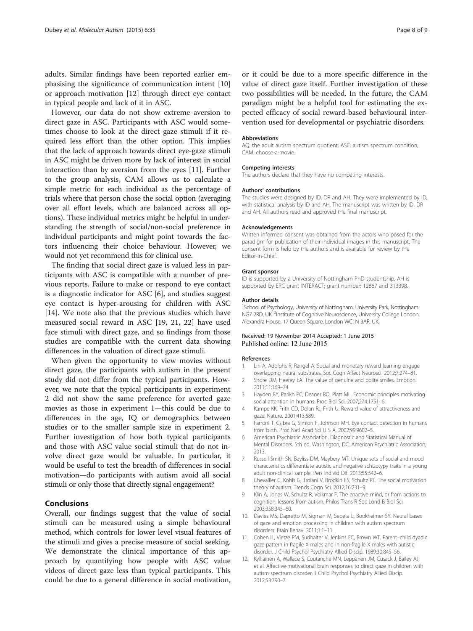<span id="page-7-0"></span>adults. Similar findings have been reported earlier emphasising the significance of communication intent [10] or approach motivation [12] through direct eye contact in typical people and lack of it in ASC.

However, our data do not show extreme aversion to direct gaze in ASC. Participants with ASC would sometimes choose to look at the direct gaze stimuli if it required less effort than the other option. This implies that the lack of approach towards direct eye-gaze stimuli in ASC might be driven more by lack of interest in social interaction than by aversion from the eyes [11]. Further to the group analysis, CAM allows us to calculate a simple metric for each individual as the percentage of trials where that person chose the social option (averaging over all effort levels, which are balanced across all options). These individual metrics might be helpful in understanding the strength of social/non-social preference in individual participants and might point towards the factors influencing their choice behaviour. However, we would not yet recommend this for clinical use.

The finding that social direct gaze is valued less in participants with ASC is compatible with a number of previous reports. Failure to make or respond to eye contact is a diagnostic indicator for ASC [6], and studies suggest eye contact is hyper-arousing for children with ASC [[14\]](#page-8-0). We note also that the previous studies which have measured social reward in ASC [[19, 21](#page-8-0), [22](#page-8-0)] have used face stimuli with direct gaze, and so findings from those studies are compatible with the current data showing differences in the valuation of direct gaze stimuli.

When given the opportunity to view movies without direct gaze, the participants with autism in the present study did not differ from the typical participants. However, we note that the typical participants in experiment 2 did not show the same preference for averted gaze movies as those in experiment 1—this could be due to differences in the age, IQ or demographics between studies or to the smaller sample size in experiment 2. Further investigation of how both typical participants and those with ASC value social stimuli that do not involve direct gaze would be valuable. In particular, it would be useful to test the breadth of differences in social motivation—do participants with autism avoid all social stimuli or only those that directly signal engagement?

#### Conclusions

Overall, our findings suggest that the value of social stimuli can be measured using a simple behavioural method, which controls for lower level visual features of the stimuli and gives a precise measure of social seeking. We demonstrate the clinical importance of this approach by quantifying how people with ASC value videos of direct gaze less than typical participants. This could be due to a general difference in social motivation, or it could be due to a more specific difference in the value of direct gaze itself. Further investigation of these two possibilities will be needed. In the future, the CAM paradigm might be a helpful tool for estimating the expected efficacy of social reward-based behavioural intervention used for developmental or psychiatric disorders.

#### Abbreviations

AQ: the adult autism spectrum quotient; ASC: autism spectrum condition; CAM: choose-a-movie.

#### Competing interests

The authors declare that they have no competing interests.

#### Authors' contributions

The studies were designed by ID, DR and AH. They were implemented by ID, with statistical analysis by ID and AH. The manuscript was written by ID, DR and AH. All authors read and approved the final manuscript.

#### Acknowledgements

Written informed consent was obtained from the actors who posed for the paradigm for publication of their individual images in this manuscript. The consent form is held by the authors and is available for review by the Editor-in-Chief.

#### Grant sponsor

ID is supported by a University of Nottingham PhD studentship. AH is supported by ERC grant INTERACT; grant number: 12867 and 313398.

#### Author details

<sup>1</sup>School of Psychology, University of Nottingham, University Park, Nottingham NG7 2RD, UK. <sup>2</sup>Institute of Cognitive Neuroscience, University College London, Alexandra House, 17 Queen Square, London WC1N 3AR, UK.

#### Received: 19 November 2014 Accepted: 1 June 2015 Published online: 12 June 2015

#### References

- 1. Lin A, Adolphs R, Rangel A. Social and monetary reward learning engage overlapping neural substrates. Soc Cogn Affect Neurosci. 2012;7:274–81.
- 2. Shore DM, Heerey EA. The value of genuine and polite smiles. Emotion. 2011;11:169–74.
- 3. Hayden BY, Parikh PC, Deaner RO, Platt ML. Economic principles motivating social attention in humans. Proc Biol Sci. 2007;274:1751–6.
- 4. Kampe KK, Frith CD, Dolan RJ, Frith U. Reward value of attractiveness and gaze. Nature. 2001;413:589.
- 5. Farroni T, Csibra G, Simion F, Johnson MH. Eye contact detection in humans from birth. Proc Natl Acad Sci U S A. 2002;99:9602–5.
- 6. American Psychiatric Association. Diagnostic and Statistical Manual of Mental Disorders. 5th ed. Washington, DC: American Psychiatric Association; 2013.
- 7. Russell-Smith SN, Bayliss DM, Maybery MT. Unique sets of social and mood characteristics differentiate autistic and negative schizotypy traits in a young adult non-clinical sample. Pers Individ Dif. 2013;55:542–6.
- 8. Chevallier C, Kohls G, Troiani V, Brodkin ES, Schultz RT. The social motivation theory of autism. Trends Cogn Sci. 2012;16:231–9.
- 9. Klin A, Jones W, Schultz R, Volkmar F. The enactive mind, or from actions to cognition: lessons from autism. Philos Trans R Soc Lond B Biol Sci. 2003;358:345–60.
- 10. Davies MS, Dapretto M, Sigman M, Sepeta L, Bookheimer SY. Neural bases of gaze and emotion processing in children with autism spectrum disorders. Brain Behav. 2011;1:1–11.
- 11. Cohen IL, Vietze PM, Sudhalter V, Jenkins EC, Brown WT. Parent–child dyadic gaze pattern in fragile X males and in non-fragile X males with autistic disorder. J Child Psychol Psychiatry Allied Discip. 1989;30:845–56.
- 12. Kylliäinen A, Wallace S, Coutanche MN, Leppänen JM, Cusack J, Bailey AJ, et al. Affective-motivational brain responses to direct gaze in children with autism spectrum disorder. J Child Psychol Psychiatry Allied Discip. 2012;53:790–7.